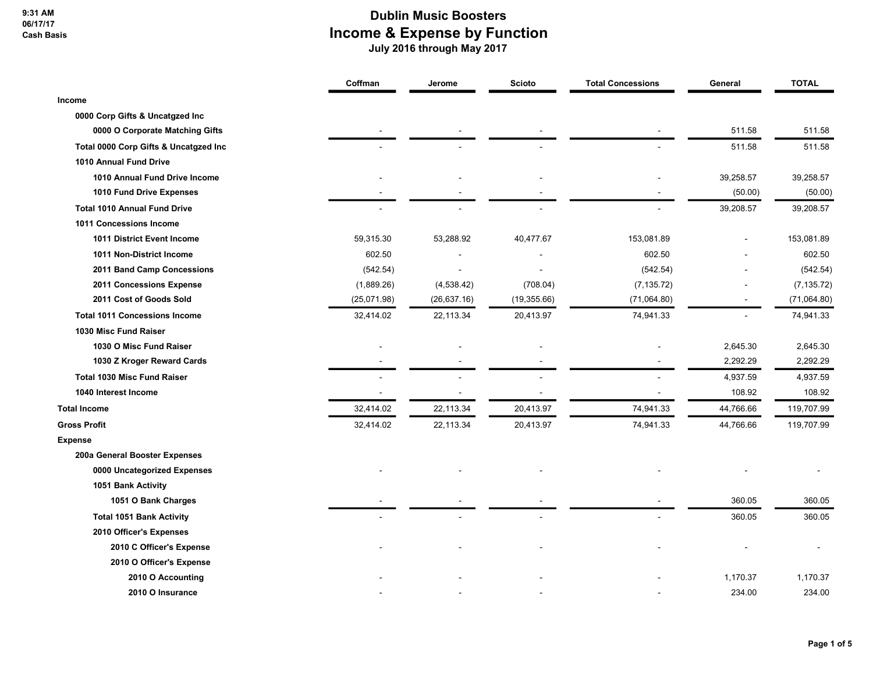9:31 AM 06/17/17 Cash Basis

|                                       | Coffman     | Jerome       | <b>Scioto</b> | <b>Total Concessions</b> | General   | <b>TOTAL</b> |
|---------------------------------------|-------------|--------------|---------------|--------------------------|-----------|--------------|
| Income                                |             |              |               |                          |           |              |
| 0000 Corp Gifts & Uncatgzed Inc       |             |              |               |                          |           |              |
| 0000 O Corporate Matching Gifts       |             |              |               |                          | 511.58    | 511.58       |
| Total 0000 Corp Gifts & Uncatgzed Inc |             |              |               |                          | 511.58    | 511.58       |
| 1010 Annual Fund Drive                |             |              |               |                          |           |              |
| 1010 Annual Fund Drive Income         |             |              |               |                          | 39,258.57 | 39,258.57    |
| 1010 Fund Drive Expenses              |             |              |               |                          | (50.00)   | (50.00)      |
| <b>Total 1010 Annual Fund Drive</b>   |             |              |               |                          | 39,208.57 | 39,208.57    |
| 1011 Concessions Income               |             |              |               |                          |           |              |
| 1011 District Event Income            | 59,315.30   | 53,288.92    | 40,477.67     | 153,081.89               |           | 153,081.89   |
| 1011 Non-District Income              | 602.50      |              |               | 602.50                   |           | 602.50       |
| 2011 Band Camp Concessions            | (542.54)    |              |               | (542.54)                 |           | (542.54)     |
| 2011 Concessions Expense              | (1,889.26)  | (4,538.42)   | (708.04)      | (7, 135.72)              |           | (7, 135.72)  |
| 2011 Cost of Goods Sold               | (25,071.98) | (26, 637.16) | (19, 355.66)  | (71,064.80)              |           | (71,064.80)  |
| <b>Total 1011 Concessions Income</b>  | 32,414.02   | 22,113.34    | 20,413.97     | 74,941.33                |           | 74,941.33    |
| 1030 Misc Fund Raiser                 |             |              |               |                          |           |              |
| 1030 O Misc Fund Raiser               |             |              |               |                          | 2,645.30  | 2,645.30     |
| 1030 Z Kroger Reward Cards            |             |              |               |                          | 2,292.29  | 2,292.29     |
| <b>Total 1030 Misc Fund Raiser</b>    |             |              |               |                          | 4,937.59  | 4,937.59     |
| 1040 Interest Income                  |             |              |               |                          | 108.92    | 108.92       |
| <b>Total Income</b>                   | 32,414.02   | 22,113.34    | 20,413.97     | 74,941.33                | 44,766.66 | 119,707.99   |
| <b>Gross Profit</b>                   | 32,414.02   | 22,113.34    | 20,413.97     | 74,941.33                | 44,766.66 | 119,707.99   |
| <b>Expense</b>                        |             |              |               |                          |           |              |
| 200a General Booster Expenses         |             |              |               |                          |           |              |
| 0000 Uncategorized Expenses           |             |              |               |                          |           |              |
| 1051 Bank Activity                    |             |              |               |                          |           |              |
| 1051 O Bank Charges                   |             |              |               |                          | 360.05    | 360.05       |
| <b>Total 1051 Bank Activity</b>       |             |              |               |                          | 360.05    | 360.05       |
| 2010 Officer's Expenses               |             |              |               |                          |           |              |
| 2010 C Officer's Expense              |             |              |               |                          |           |              |
| 2010 O Officer's Expense              |             |              |               |                          |           |              |
| 2010 O Accounting                     |             |              |               |                          | 1,170.37  | 1,170.37     |
| 2010 O Insurance                      |             |              |               |                          | 234.00    | 234.00       |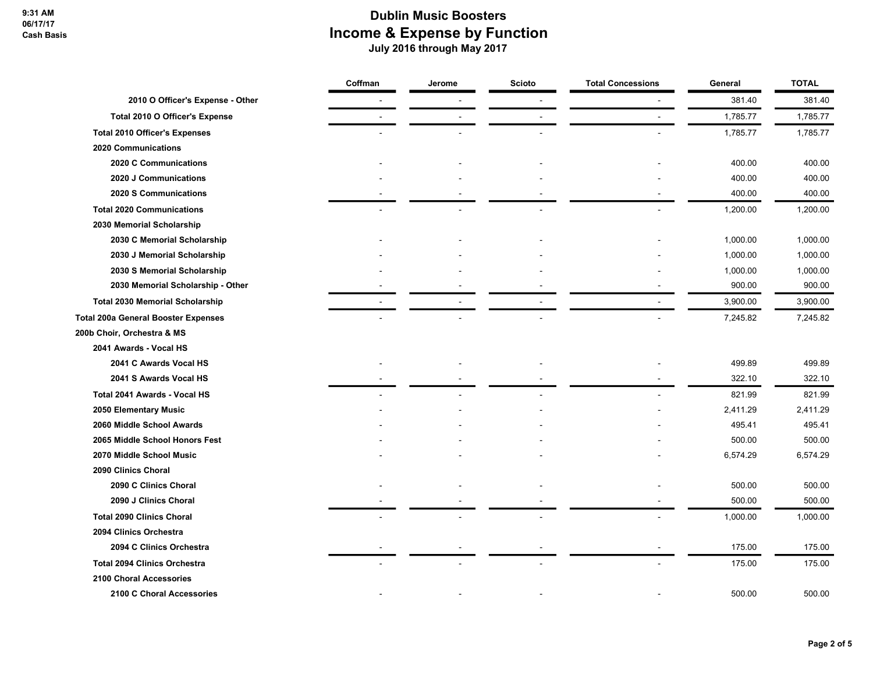|                                            | Coffman | Jerome | Scioto | <b>Total Concessions</b> | General  | <b>TOTAL</b> |
|--------------------------------------------|---------|--------|--------|--------------------------|----------|--------------|
| 2010 O Officer's Expense - Other           |         |        |        |                          | 381.40   | 381.40       |
| Total 2010 O Officer's Expense             |         |        |        | $\sim$                   | 1,785.77 | 1,785.77     |
| <b>Total 2010 Officer's Expenses</b>       |         |        |        |                          | 1,785.77 | 1,785.77     |
| 2020 Communications                        |         |        |        |                          |          |              |
| 2020 C Communications                      |         |        |        |                          | 400.00   | 400.00       |
| 2020 J Communications                      |         |        |        |                          | 400.00   | 400.00       |
| 2020 S Communications                      |         |        |        |                          | 400.00   | 400.00       |
| <b>Total 2020 Communications</b>           |         |        |        |                          | 1,200.00 | 1,200.00     |
| 2030 Memorial Scholarship                  |         |        |        |                          |          |              |
| 2030 C Memorial Scholarship                |         |        |        |                          | 1,000.00 | 1,000.00     |
| 2030 J Memorial Scholarship                |         |        |        |                          | 1,000.00 | 1,000.00     |
| 2030 S Memorial Scholarship                |         |        |        |                          | 1,000.00 | 1,000.00     |
| 2030 Memorial Scholarship - Other          |         |        |        |                          | 900.00   | 900.00       |
| <b>Total 2030 Memorial Scholarship</b>     |         |        |        |                          | 3,900.00 | 3,900.00     |
| <b>Total 200a General Booster Expenses</b> |         |        |        |                          | 7,245.82 | 7,245.82     |
| 200b Choir, Orchestra & MS                 |         |        |        |                          |          |              |
| 2041 Awards - Vocal HS                     |         |        |        |                          |          |              |
| 2041 C Awards Vocal HS                     |         |        |        |                          | 499.89   | 499.89       |
| 2041 S Awards Vocal HS                     |         |        |        |                          | 322.10   | 322.10       |
| Total 2041 Awards - Vocal HS               |         |        |        |                          | 821.99   | 821.99       |
| 2050 Elementary Music                      |         |        |        |                          | 2,411.29 | 2,411.29     |
| 2060 Middle School Awards                  |         |        |        |                          | 495.41   | 495.41       |
| 2065 Middle School Honors Fest             |         |        |        |                          | 500.00   | 500.00       |
| 2070 Middle School Music                   |         |        |        |                          | 6,574.29 | 6,574.29     |
| 2090 Clinics Choral                        |         |        |        |                          |          |              |
| 2090 C Clinics Choral                      |         |        |        |                          | 500.00   | 500.00       |
| 2090 J Clinics Choral                      |         |        |        |                          | 500.00   | 500.00       |
| <b>Total 2090 Clinics Choral</b>           |         |        |        |                          | 1,000.00 | 1,000.00     |
| 2094 Clinics Orchestra                     |         |        |        |                          |          |              |
| 2094 C Clinics Orchestra                   |         |        |        |                          | 175.00   | 175.00       |
| <b>Total 2094 Clinics Orchestra</b>        |         |        |        |                          | 175.00   | 175.00       |
| 2100 Choral Accessories                    |         |        |        |                          |          |              |
| 2100 C Choral Accessories                  |         |        |        |                          | 500.00   | 500.00       |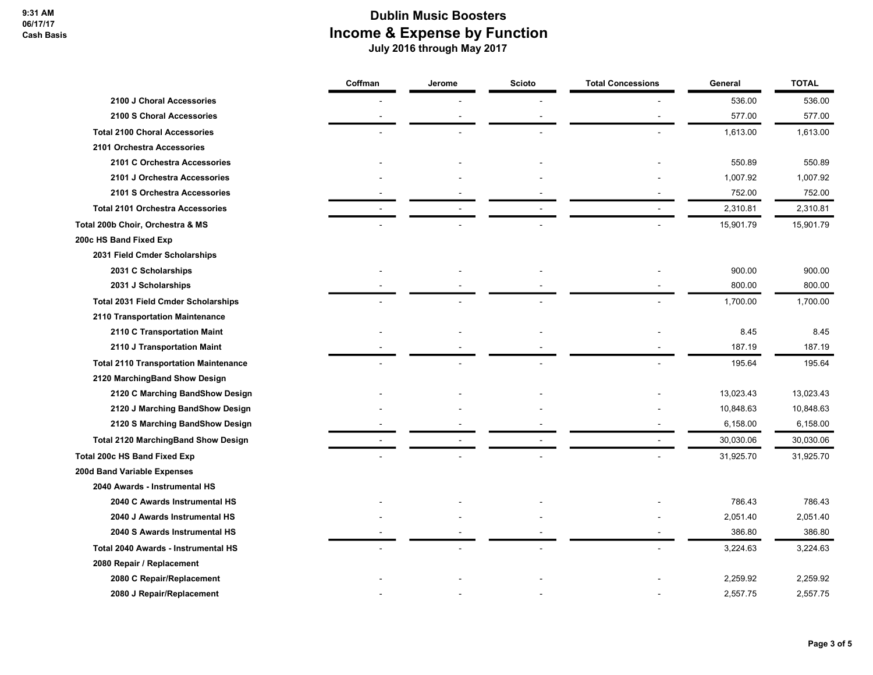|                                              | Coffman | Jerome | <b>Scioto</b> | <b>Total Concessions</b> | General   | <b>TOTAL</b> |
|----------------------------------------------|---------|--------|---------------|--------------------------|-----------|--------------|
| 2100 J Choral Accessories                    |         |        |               |                          | 536.00    | 536.00       |
| 2100 S Choral Accessories                    |         |        |               |                          | 577.00    | 577.00       |
| <b>Total 2100 Choral Accessories</b>         |         |        |               |                          | 1,613.00  | 1,613.00     |
| 2101 Orchestra Accessories                   |         |        |               |                          |           |              |
| 2101 C Orchestra Accessories                 |         |        |               |                          | 550.89    | 550.89       |
| 2101 J Orchestra Accessories                 |         |        |               |                          | 1,007.92  | 1,007.92     |
| 2101 S Orchestra Accessories                 |         |        |               |                          | 752.00    | 752.00       |
| <b>Total 2101 Orchestra Accessories</b>      |         |        |               |                          | 2,310.81  | 2,310.81     |
| Total 200b Choir, Orchestra & MS             |         |        |               |                          | 15,901.79 | 15,901.79    |
| 200c HS Band Fixed Exp                       |         |        |               |                          |           |              |
| 2031 Field Cmder Scholarships                |         |        |               |                          |           |              |
| 2031 C Scholarships                          |         |        |               |                          | 900.00    | 900.00       |
| 2031 J Scholarships                          |         |        |               |                          | 800.00    | 800.00       |
| <b>Total 2031 Field Cmder Scholarships</b>   |         |        |               |                          | 1,700.00  | 1,700.00     |
| 2110 Transportation Maintenance              |         |        |               |                          |           |              |
| 2110 C Transportation Maint                  |         |        |               |                          | 8.45      | 8.45         |
| 2110 J Transportation Maint                  |         |        |               |                          | 187.19    | 187.19       |
| <b>Total 2110 Transportation Maintenance</b> |         |        |               |                          | 195.64    | 195.64       |
| 2120 MarchingBand Show Design                |         |        |               |                          |           |              |
| 2120 C Marching BandShow Design              |         |        |               |                          | 13,023.43 | 13,023.43    |
| 2120 J Marching BandShow Design              |         |        |               |                          | 10,848.63 | 10,848.63    |
| 2120 S Marching BandShow Design              |         |        |               |                          | 6,158.00  | 6,158.00     |
| <b>Total 2120 MarchingBand Show Design</b>   |         |        |               |                          | 30,030.06 | 30,030.06    |
| <b>Total 200c HS Band Fixed Exp</b>          |         |        |               |                          | 31,925.70 | 31,925.70    |
| 200d Band Variable Expenses                  |         |        |               |                          |           |              |
| 2040 Awards - Instrumental HS                |         |        |               |                          |           |              |
| 2040 C Awards Instrumental HS                |         |        |               |                          | 786.43    | 786.43       |
| 2040 J Awards Instrumental HS                |         |        |               |                          | 2,051.40  | 2,051.40     |
| 2040 S Awards Instrumental HS                |         |        |               |                          | 386.80    | 386.80       |
| Total 2040 Awards - Instrumental HS          |         |        |               |                          | 3,224.63  | 3,224.63     |
| 2080 Repair / Replacement                    |         |        |               |                          |           |              |
| 2080 C Repair/Replacement                    |         |        |               |                          | 2,259.92  | 2,259.92     |
| 2080 J Repair/Replacement                    |         |        |               |                          | 2,557.75  | 2,557.75     |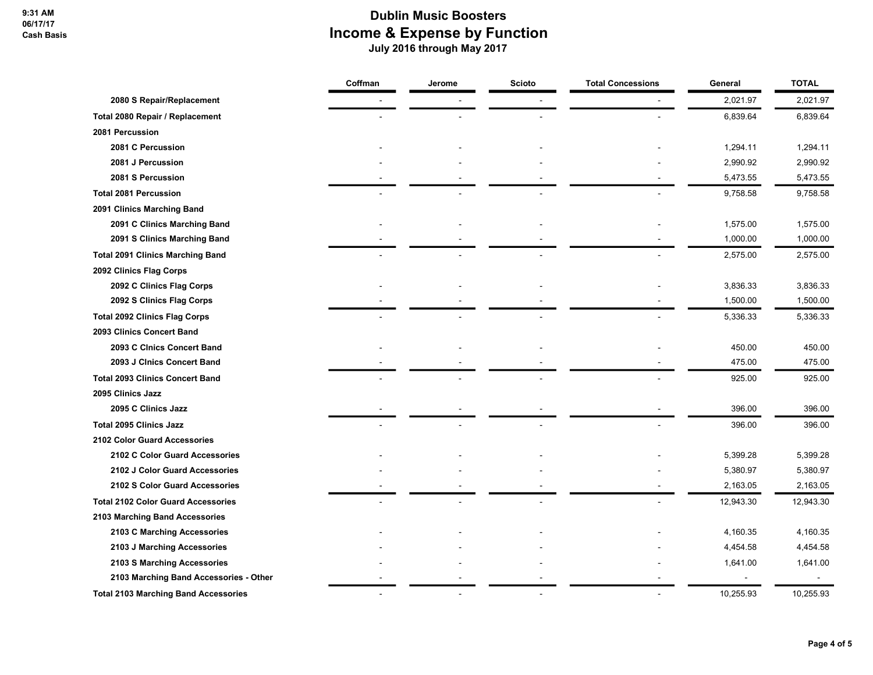|                                             | Coffman | Jerome | <b>Scioto</b> | <b>Total Concessions</b> | General   | <b>TOTAL</b> |
|---------------------------------------------|---------|--------|---------------|--------------------------|-----------|--------------|
| 2080 S Repair/Replacement                   |         |        |               |                          | 2,021.97  | 2,021.97     |
| Total 2080 Repair / Replacement             |         |        |               |                          | 6,839.64  | 6,839.64     |
| 2081 Percussion                             |         |        |               |                          |           |              |
| 2081 C Percussion                           |         |        |               |                          | 1,294.11  | 1,294.11     |
| 2081 J Percussion                           |         |        |               |                          | 2,990.92  | 2,990.92     |
| 2081 S Percussion                           |         |        |               |                          | 5,473.55  | 5,473.55     |
| <b>Total 2081 Percussion</b>                |         |        |               |                          | 9,758.58  | 9,758.58     |
| 2091 Clinics Marching Band                  |         |        |               |                          |           |              |
| 2091 C Clinics Marching Band                |         |        |               |                          | 1,575.00  | 1,575.00     |
| 2091 S Clinics Marching Band                |         |        |               |                          | 1,000.00  | 1,000.00     |
| <b>Total 2091 Clinics Marching Band</b>     |         |        |               |                          | 2,575.00  | 2,575.00     |
| 2092 Clinics Flag Corps                     |         |        |               |                          |           |              |
| 2092 C Clinics Flag Corps                   |         |        |               |                          | 3,836.33  | 3,836.33     |
| 2092 S Clinics Flag Corps                   |         |        |               |                          | 1,500.00  | 1,500.00     |
| <b>Total 2092 Clinics Flag Corps</b>        |         |        |               |                          | 5,336.33  | 5,336.33     |
| 2093 Clinics Concert Band                   |         |        |               |                          |           |              |
| 2093 C Cinics Concert Band                  |         |        |               |                          | 450.00    | 450.00       |
| 2093 J Cinics Concert Band                  |         |        |               |                          | 475.00    | 475.00       |
| <b>Total 2093 Clinics Concert Band</b>      |         |        |               |                          | 925.00    | 925.00       |
| 2095 Clinics Jazz                           |         |        |               |                          |           |              |
| 2095 C Clinics Jazz                         |         |        |               |                          | 396.00    | 396.00       |
| <b>Total 2095 Clinics Jazz</b>              |         |        |               |                          | 396.00    | 396.00       |
| 2102 Color Guard Accessories                |         |        |               |                          |           |              |
| 2102 C Color Guard Accessories              |         |        |               |                          | 5,399.28  | 5,399.28     |
| 2102 J Color Guard Accessories              |         |        |               |                          | 5,380.97  | 5,380.97     |
| 2102 S Color Guard Accessories              |         |        |               |                          | 2,163.05  | 2,163.05     |
| <b>Total 2102 Color Guard Accessories</b>   |         |        |               |                          | 12,943.30 | 12,943.30    |
| 2103 Marching Band Accessories              |         |        |               |                          |           |              |
| 2103 C Marching Accessories                 |         |        |               |                          | 4,160.35  | 4,160.35     |
| 2103 J Marching Accessories                 |         |        |               |                          | 4,454.58  | 4,454.58     |
| 2103 S Marching Accessories                 |         |        |               |                          | 1,641.00  | 1,641.00     |
| 2103 Marching Band Accessories - Other      |         |        |               |                          |           |              |
| <b>Total 2103 Marching Band Accessories</b> |         |        |               |                          | 10,255.93 | 10,255.93    |